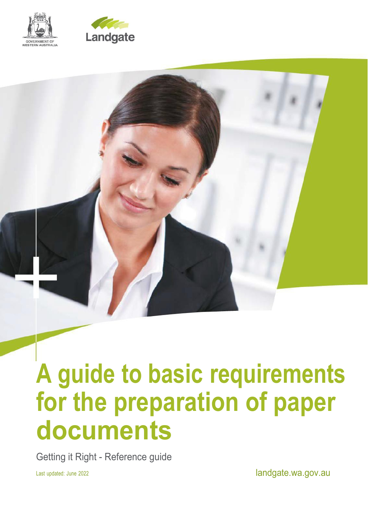



# **A guide to basic requirements for the preparation of paper documents**

Getting it Right - Reference guide

Last updated: June 2022 **landgate.wa.gov.au**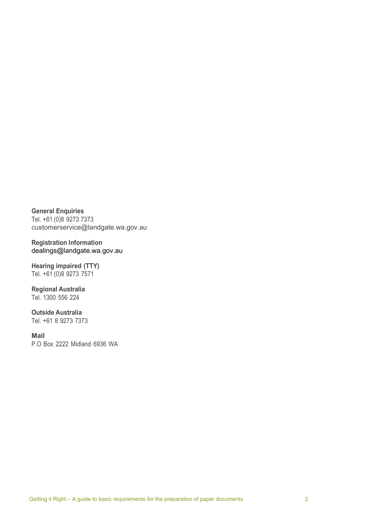**General Enquiries** Tel. +61 (0)8 9273 7373 [customerservice@landgate.wa.gov.au](mailto:customerservice@landgate.wa.gov.au)

**Registration Information** [dealings@landgate.wa.gov.au](mailto:dealings@landgate.wa.gov.au)

**Hearing impaired (TTY)** Tel. +61 (0)8 9273 7571

**Regional Australia** Tel. 1300 556 224

**Outside Australia** Tel. +61 8 9273 7373

**Mail** P.O Box 2222 Midland 6936 WA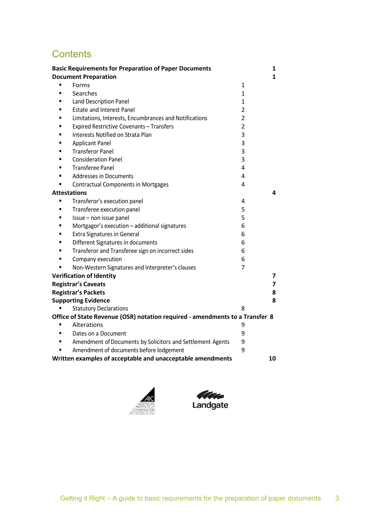# **Contents**

|   | <b>Basic Requirements for Preparation of Paper Documents</b>                 |                | 1  |
|---|------------------------------------------------------------------------------|----------------|----|
|   | <b>Document Preparation</b>                                                  |                | 1  |
|   | Forms                                                                        | 1              |    |
|   | Searches                                                                     | 1              |    |
|   | Land Description Panel                                                       | 1              |    |
|   | <b>Estate and Interest Panel</b>                                             | $\overline{2}$ |    |
|   | Limitations, Interests, Encumbrances and Notifications                       | $\overline{2}$ |    |
|   | Expired Restrictive Covenants - Transfers                                    | $\overline{2}$ |    |
|   | Interests Notified on Strata Plan                                            | 3              |    |
|   | <b>Applicant Panel</b>                                                       | 3              |    |
|   | <b>Transferor Panel</b>                                                      | 3              |    |
|   | <b>Consideration Panel</b>                                                   | 3              |    |
| п | <b>Transferee Panel</b>                                                      | 4              |    |
| п | <b>Addresses in Documents</b>                                                | 4              |    |
| ٠ | <b>Contractual Components in Mortgages</b>                                   | 4              |    |
|   | <b>Attestations</b>                                                          |                | 4  |
| п | Transferor's execution panel                                                 | 4              |    |
|   | Transferee execution panel                                                   | 5              |    |
|   | Issue - non issue panel                                                      | 5              |    |
|   | Mortgagor's execution - additional signatures                                | 6              |    |
|   | <b>Extra Signatures in General</b>                                           | 6              |    |
| ٠ | Different Signatures in documents                                            | 6              |    |
| ٠ | Transferor and Transferee sign on incorrect sides                            | 6              |    |
|   | Company execution                                                            | 6              |    |
|   | Non-Western Signatures and Interpreter's clauses                             | 7              |    |
|   | <b>Verification of Identity</b>                                              |                | 7  |
|   | <b>Registrar's Caveats</b>                                                   |                | 7  |
|   | <b>Registrar's Packets</b>                                                   |                | 8  |
|   | <b>Supporting Evidence</b>                                                   |                | 8  |
|   | <b>Statutory Declarations</b>                                                | 8              |    |
|   | Office of State Revenue (OSR) notation required - amendments to a Transfer 8 |                |    |
|   | Alterations                                                                  | 9              |    |
|   | Dates on a Document                                                          | 9              |    |
| ٠ | Amendment of Documents by Solicitors and Settlement Agents                   | 9              |    |
| ٠ | Amendment of documents before lodgement                                      | 9              |    |
|   | Written examples of acceptable and unacceptable amendments                   |                | 10 |



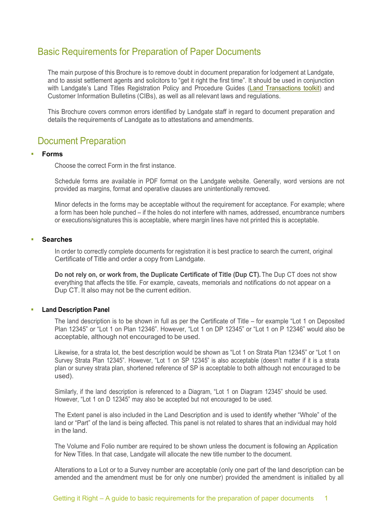## <span id="page-3-0"></span>Basic Requirements for Preparation of Paper Documents

The main purpose of this Brochure is to remove doubt in document preparation for lodgement at Landgate, and to assist settlement agents and solicitors to "get it right the first time". It should be used in conjunction with Landgate's Land Titles Registration Policy and Procedure Guides [\(Land Transactions toolkit\)](https://www0.landgate.wa.gov.au/business-and-government/Land-Transactions-toolkit) and Customer Information Bulletins (CIBs), as well as all relevant laws and regulations.

This Brochure covers common errors identified by Landgate staff in regard to document preparation and details the requirements of Landgate as to attestations and amendments.

## <span id="page-3-1"></span>Document Preparation

#### <span id="page-3-2"></span>**Forms**

Choose the correct Form in the first instance.

Schedule forms are available in PDF format on the Landgate website. Generally, word versions are not provided as margins, format and operative clauses are unintentionally removed.

Minor defects in the forms may be acceptable without the requirement for acceptance. For example; where a form has been hole punched – if the holes do not interfere with names, addressed, encumbrance numbers or executions/signatures this is acceptable, where margin lines have not printed this is acceptable.

#### <span id="page-3-3"></span>**Searches**

In order to correctly complete documents for registration it is best practice to search the current, original Certificate of Title and order a copy from Landgate.

**Do not rely on, or work from, the Duplicate Certificate of Title (Dup CT).** The Dup CT does not show everything that affects the title. For example, caveats, memorials and notifications do not appear on a Dup CT. It also may not be the current edition.

#### <span id="page-3-4"></span>**Land Description Panel**

The land description is to be shown in full as per the Certificate of Title – for example "Lot 1 on Deposited Plan 12345" or "Lot 1 on Plan 12346". However, "Lot 1 on DP 12345" or "Lot 1 on P 12346" would also be acceptable, although not encouraged to be used.

Likewise, for a strata lot, the best description would be shown as "Lot 1 on Strata Plan 12345" or "Lot 1 on Survey Strata Plan 12345". However, "Lot 1 on SP 12345" is also acceptable (doesn't matter if it is a strata plan or survey strata plan, shortened reference of SP is acceptable to both although not encouraged to be used).

Similarly, if the land description is referenced to a Diagram, "Lot 1 on Diagram 12345" should be used. However, "Lot 1 on D 12345" may also be accepted but not encouraged to be used.

The Extent panel is also included in the Land Description and is used to identify whether "Whole" of the land or "Part" of the land is being affected. This panel is not related to shares that an individual may hold in the land.

The Volume and Folio number are required to be shown unless the document is following an Application for New Titles. In that case, Landgate will allocate the new title number to the document.

Alterations to a Lot or to a Survey number are acceptable (only one part of the land description can be amended and the amendment must be for only one number) provided the amendment is initialled by all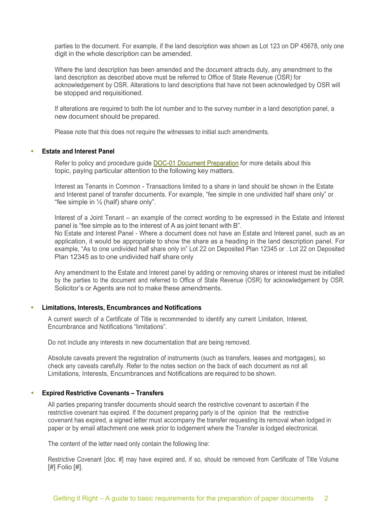parties to the document. For example, if the land description was shown as Lot 123 on DP 45678, only one digit in the whole description can be amended.

Where the land description has been amended and the document attracts duty, any amendment to the land description as described above must be referred to Office of State Revenue (OSR) for acknowledgement by OSR. Alterations to land descriptions that have not been acknowledged by OSR will be stopped and requisitioned.

If alterations are required to both the lot number and to the survey number in a land description panel, a new document should be prepared.

Please note that this does not require the witnesses to initial such amendments.

#### <span id="page-4-0"></span>**Estate and Interest Panel**

Refer to policy and procedure guide [DOC-01 Document Preparation](https://www0.landgate.wa.gov.au/for-individuals/Land-Transactions-toolkit/land-titles-registration-policy-and-procedure-guides/practice-manual/registration/doc-01-document-preparation) for more details about this topic, paying particular attention to the following key matters.

Interest as Tenants in Common - Transactions limited to a share in land should be shown in the Estate and Interest panel of transfer documents. For example, "fee simple in one undivided half share only" or "fee simple in  $\frac{1}{2}$  (half) share only".

Interest of a Joint Tenant – an example of the correct wording to be expressed in the Estate and Interest panel is "fee simple as to the interest of A as joint tenant with B". No Estate and Interest Panel - Where a document does not have an Estate and Interest panel, such as an application, it would be appropriate to show the share as a heading in the land description panel. For example, "As to one undivided half share only in" Lot 22 on Deposited Plan 12345 or . Lot 22 on Deposited Plan 12345 as to one undivided half share only

Any amendment to the Estate and Interest panel by adding or removing shares or interest must be initialled by the parties to the document and referred to Office of State Revenue (OSR) for acknowledgement by OSR. Solicitor's or Agents are not to make these amendments.

#### <span id="page-4-1"></span>**Limitations, Interests, Encumbrances and Notifications**

A current search of a Certificate of Title is recommended to identify any current Limitation, Interest, Encumbrance and Notifications "limitations".

Do not include any interests in new documentation that are being removed.

Absolute caveats prevent the registration of instruments (such as transfers, leases and mortgages), so check any caveats carefully. Refer to the notes section on the back of each document as not all Limitations, Interests, Encumbrances and Notifications are required to be shown.

#### <span id="page-4-2"></span>**Expired Restrictive Covenants – Transfers**

All parties preparing transfer documents should search the restrictive covenant to ascertain if the restrictive covenant has expired. If the document preparing party is of the opinion that the restrictive covenant has expired, a signed letter must accompany the transfer requesting its removal when lodged in paper or by email attachment one week prior to lodgement where the Transfer is lodged electronical.

The content of the letter need only contain the following line:

Restrictive Covenant [doc. #] may have expired and, if so, should be removed from Certificate of Title Volume [#] Folio [#].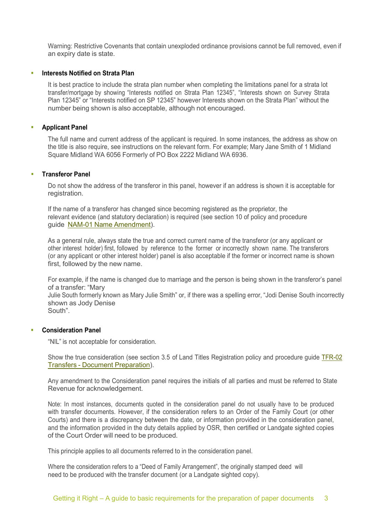Warning: Restrictive Covenants that contain unexploded ordinance provisions cannot be full removed, even if an expiry date is state.

#### <span id="page-5-0"></span>**Interests Notified on Strata Plan**

It is best practice to include the strata plan number when completing the limitations panel for a strata lot transfer/mortgage by showing "Interests notified on Strata Plan 12345", "Interests shown on Survey Strata Plan 12345" or "Interests notified on SP 12345" however Interests shown on the Strata Plan" without the number being shown is also acceptable, although not encouraged.

#### <span id="page-5-1"></span>**Applicant Panel**

The full name and current address of the applicant is required. In some instances, the address as show on the title is also require, see instructions on the relevant form. For example; Mary Jane Smith of 1 Midland Square Midland WA 6056 Formerly of PO Box 2222 Midland WA 6936.

#### <span id="page-5-2"></span>**Transferor Panel**

Do not show the address of the transferor in this panel, however if an address is shown it is acceptable for registration.

If the name of a transferor has changed since becoming registered as the proprietor, the relevant evidence (and statutory declaration) is required (see section 10 of policy and procedure guide NAM-01 Name [Amendment\)](https://www0.landgate.wa.gov.au/for-individuals/Land-Transactions-toolkit/land-titles-registration-policy-and-procedure-guides/practice-manual/proprietor/nam-01-name-amendment).

As a general rule, always state the true and correct current name of the transferor (or any applicant or other interest holder) first, followed by reference to the former or incorrectly shown name. The transferors (or any applicant or other interest holder) panel is also acceptable if the former or incorrect name is shown first, followed by the new name.

For example, if the name is changed due to marriage and the person is being shown in the transferor's panel of a transfer: "Mary

Julie South formerly known as Mary Julie Smith" or, if there was a spelling error, "Jodi Denise South incorrectly shown as Jody Denise South".

#### <span id="page-5-3"></span>**Consideration Panel**

"NIL" is not acceptable for consideration.

Show the true consideration (see section 3.5 of Land Titles Registration policy and procedure guide [TFR-02](https://www0.landgate.wa.gov.au/for-individuals/Land-Transactions-toolkit/land-titles-registration-policy-and-procedure-guides/practice-manual/proprietor/tfr-02-transfers-document-preparation) Transfers - Document [Preparation\)](https://www0.landgate.wa.gov.au/for-individuals/Land-Transactions-toolkit/land-titles-registration-policy-and-procedure-guides/practice-manual/proprietor/tfr-02-transfers-document-preparation).

Any amendment to the Consideration panel requires the initials of all parties and must be referred to State Revenue for acknowledgement.

Note: In most instances, documents quoted in the consideration panel do not usually have to be produced with transfer documents. However, if the consideration refers to an Order of the Family Court (or other Courts) and there is a discrepancy between the date, or information provided in the consideration panel, and the information provided in the duty details applied by OSR, then certified or Landgate sighted copies of the Court Order will need to be produced.

This principle applies to all documents referred to in the consideration panel.

Where the consideration refers to a "Deed of Family Arrangement", the originally stamped deed will need to be produced with the transfer document (or a Landgate sighted copy).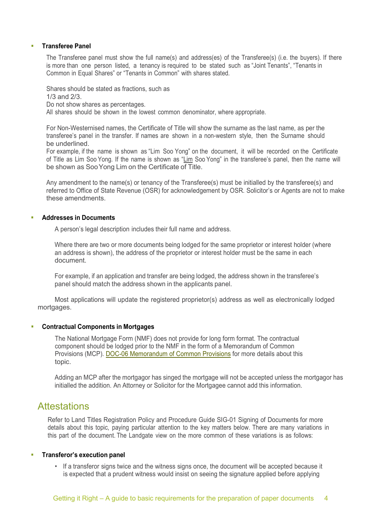#### <span id="page-6-0"></span>**Transferee Panel**

The Transferee panel must show the full name(s) and address(es) of the Transferee(s) (i.e. the buyers). If there is more than one person listed, a tenancy is required to be stated such as "Joint Tenants", "Tenants in Common in Equal Shares" or "Tenants in Common" with shares stated.

Shares should be stated as fractions, such as 1/3 and 2/3. Do not show shares as percentages. All shares should be shown in the lowest common denominator, where appropriate.

For Non-Westernised names, the Certificate of Title will show the surname as the last name, as per the transferee's panel in the transfer. If names are shown in a non-western style, then the Surname should be underlined.

For example, if the name is shown as "Lim Soo Yong" on the document, it will be recorded on the Certificate of Title as Lim Soo Yong. If the name is shown as "Lim Soo Yong" in the transferee's panel, then the name will be shown as SooYong Lim on the Certificate of Title.

Any amendment to the name(s) or tenancy of the Transferee(s) must be initialled by the transferee(s) and referred to Office of State Revenue (OSR) for acknowledgement by OSR. Solicitor's or Agents are not to make these amendments.

#### <span id="page-6-1"></span>**Addresses in Documents**

A person's legal description includes their full name and address.

Where there are two or more documents being lodged for the same proprietor or interest holder (where an address is shown), the address of the proprietor or interest holder must be the same in each document.

For example, if an application and transfer are being lodged, the address shown in the transferee's panel should match the address shown in the applicants panel.

Most applications will update the registered proprietor(s) address as well as electronically lodged mortgages.

#### <span id="page-6-2"></span>**Contractual Components in Mortgages**

The National Mortgage Form (NMF) does not provide for long form format. The contractual component should be lodged prior to the NMF in the form of a Memorandum of Common Provisions (MCP). [DOC-06 Memorandum of Common Provisions](https://www0.landgate.wa.gov.au/for-individuals/Land-Transactions-toolkit/land-titles-registration-policy-and-procedure-guides/practice-manual/registration/doc-06-memorandum-of-common-provisions) for more details about this topic.

Adding an MCP after the mortgagor has singed the mortgage will not be accepted unless the mortgagor has initialled the addition. An Attorney or Solicitor for the Mortgagee cannot add this information.

### <span id="page-6-3"></span>**Attestations**

Refer to Land Titles Registration Policy and Procedure Guide SIG-01 Signing of Documents for more details about this topic, paying particular attention to the key matters below. There are many variations in this part of the document. The Landgate view on the more common of these variations is as follows:

#### <span id="page-6-4"></span>**Transferor's execution panel**

• If a transferor signs twice and the witness signs once, the document will be accepted because it is expected that a prudent witness would insist on seeing the signature applied before applying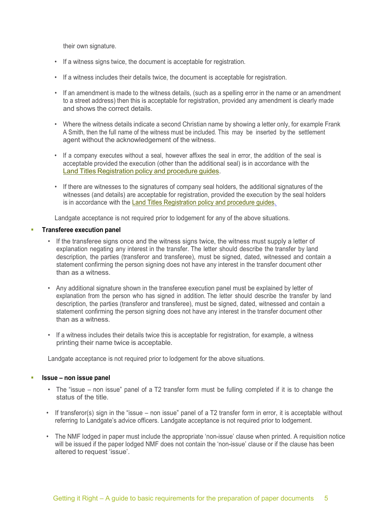their own signature.

- If a witness signs twice, the document is acceptable for registration.
- If a witness includes their details twice, the document is acceptable for registration.
- If an amendment is made to the witness details, (such as a spelling error in the name or an amendment to a street address) then this is acceptable for registration, provided any amendment is clearly made and shows the correct details.
- Where the witness details indicate a second Christian name by showing a letter only, for example Frank A Smith, then the full name of the witness must be included. This may be inserted by the settlement agent without the acknowledgement of the witness.
- If a company executes without a seal, however affixes the seal in error, the addition of the seal is acceptable provided the execution (other than the additional seal) is in accordance with the Land Titles [Registration](https://www0.landgate.wa.gov.au/for-individuals/Land-Transactions-toolkit/land-titles-registration-policy-and-procedure-guides) policy and procedure guides.
- If there are witnesses to the signatures of company seal holders, the additional signatures of the witnesses (and details) are acceptable for registration, provided the execution by the seal holders is in accordance with the Land Titles [Registration](https://www0.landgate.wa.gov.au/for-individuals/Land-Transactions-toolkit/land-titles-registration-policy-and-procedure-guides) policy and procedure guides.

Landgate acceptance is not required prior to lodgement for any of the above situations.

#### <span id="page-7-0"></span>**Transferee execution panel**

- If the transferee signs once and the witness signs twice, the witness must supply a letter of explanation negating any interest in the transfer. The letter should describe the transfer by land description, the parties (transferor and transferee), must be signed, dated, witnessed and contain a statement confirming the person signing does not have any interest in the transfer document other than as a witness.
- Any additional signature shown in the transferee execution panel must be explained by letter of explanation from the person who has signed in addition. The letter should describe the transfer by land description, the parties (transferor and transferee), must be signed, dated, witnessed and contain a statement confirming the person signing does not have any interest in the transfer document other than as a witness.
- If a witness includes their details twice this is acceptable for registration, for example, a witness printing their name twice is acceptable.

Landgate acceptance is not required prior to lodgement for the above situations.

#### <span id="page-7-1"></span>**Issue – non issue panel**

- The "issue non issue" panel of a T2 transfer form must be fulling completed if it is to change the status of the title.
- If transferor(s) sign in the "issue non issue" panel of a T2 transfer form in error, it is acceptable without referring to Landgate's advice officers. Landgate acceptance is not required prior to lodgement.
- The NMF lodged in paper must include the appropriate 'non-issue' clause when printed. A requisition notice will be issued if the paper lodged NMF does not contain the 'non-issue' clause or if the clause has been altered to request 'issue'.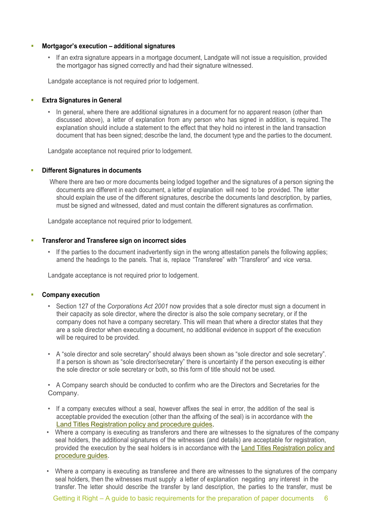#### <span id="page-8-0"></span>**Mortgagor's execution – additional signatures**

• If an extra signature appears in a mortgage document, Landgate will not issue a requisition, provided the mortgagor has signed correctly and had their signature witnessed.

Landgate acceptance is not required prior to lodgement.

#### <span id="page-8-1"></span>**Extra Signatures in General**

• In general, where there are additional signatures in a document for no apparent reason (other than discussed above), a letter of explanation from any person who has signed in addition, is required. The explanation should include a statement to the effect that they hold no interest in the land transaction document that has been signed; describe the land, the document type and the parties to the document.

Landgate acceptance not required prior to lodgement.

#### <span id="page-8-2"></span>**Different Signatures in documents**

Where there are two or more documents being lodged together and the signatures of a person signing the documents are different in each document, a letter of explanation will need to be provided. The letter should explain the use of the different signatures, describe the documents land description, by parties, must be signed and witnessed, dated and must contain the different signatures as confirmation.

Landgate acceptance not required prior to lodgement.

#### <span id="page-8-3"></span>**Transferor and Transferee sign on incorrect sides**

• If the parties to the document inadvertently sign in the wrong attestation panels the following applies; amend the headings to the panels. That is, replace "Transferee" with "Transferor" and vice versa.

Landgate acceptance is not required prior to lodgement.

#### <span id="page-8-4"></span>**Company execution**

- Section 127 of the *Corporations Act 2001* now provides that a sole director must sign a document in their capacity as sole director, where the director is also the sole company secretary, or if the company does not have a company secretary. This will mean that where a director states that they are a sole director when executing a document, no additional evidence in support of the execution will be required to be provided.
- A "sole director and sole secretary" should always been shown as "sole director and sole secretary". If a person is shown as "sole director/secretary" there is uncertainty if the person executing is either the sole director or sole secretary or both, so this form of title should not be used.

• A Company search should be conducted to confirm who are the Directors and Secretaries for the Company.

- If a company executes without a seal, however affixes the seal in error, the addition of the seal is acceptable provided the execution (other than the affixing of the seal) is in accordance with the Land Titles [Registration](https://www0.landgate.wa.gov.au/for-individuals/Land-Transactions-toolkit/land-titles-registration-policy-and-procedure-guides) policy and procedure guides.
- Where a company is executing as transferors and there are witnesses to the signatures of the company seal holders, the additional signatures of the witnesses (and details) are acceptable for registration, provided the execution by the seal holders is in accordance with the Land Titles [Registration policy](https://www0.landgate.wa.gov.au/for-individuals/Land-Transactions-toolkit/land-titles-registration-policy-and-procedure-guides) and [procedure](https://www0.landgate.wa.gov.au/for-individuals/Land-Transactions-toolkit/land-titles-registration-policy-and-procedure-guides) guides.
- Where a company is executing as transferee and there are witnesses to the signatures of the company seal holders, then the witnesses must supply a letter of explanation negating any interest in the transfer. The letter should describe the transfer by land description, the parties to the transfer, must be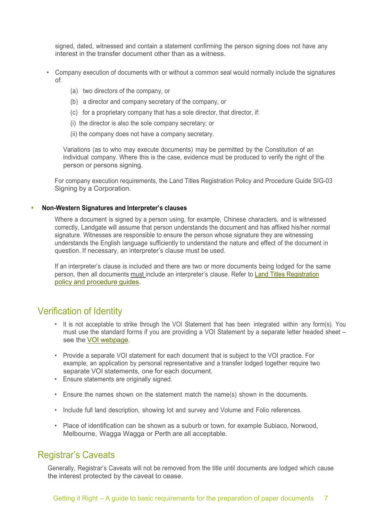signed, dated, witnessed and contain a statement confirming the person signing does not have any interest in the transfer document other than as a witness.

- Company execution of documents with or without a common seal would normally include the signatures of:
	- (a) two directors of the company, or
	- (b) a director and company secretary of the company, or
	- (c) for a proprietary company that has a sole director, that director, if:
	- (i) the director is also the sole company secretary; or
	- (ii) the company does not have a company secretary.

Variations (as to who may execute documents) may be permitted by the Constitution of an individual company. Where this is the case, evidence must be produced to verify the right of the person or persons signing.

For company execution requirements, the Land Titles Registration Policy and Procedure Guide SIG-03 Signing by a Corporation.

#### <span id="page-9-0"></span>**Non-Western Signatures and Interpreter's clauses**

Where a document is signed by a person using, for example, Chinese characters, and is witnessed correctly, Landgate will assume that person understands the document and has affixed his/her normal signature. Witnesses are responsible to ensure the person whose signature they are witnessing understands the English language sufficiently to understand the nature and effect of the document in question. If necessary, an interpreter's clause must be used.

If an interpreter's clause is included and there are two or more documents being lodged for the same person, then all documents must include an interpreter's clause. Refer to Land Titles [Registration](https://www0.landgate.wa.gov.au/for-individuals/Land-Transactions-toolkit/land-titles-registration-policy-and-procedure-guides) policy and [procedure](https://www0.landgate.wa.gov.au/for-individuals/Land-Transactions-toolkit/land-titles-registration-policy-and-procedure-guides) guides.

## <span id="page-9-1"></span>Verification of Identity

- It is not acceptable to strike through the VOI Statement that has been integrated within any form(s). You must use the standard forms if you are providing a VOI Statement by a separate letter headed sheet – see the VOI [webpage.](https://www0.landgate.wa.gov.au/for-individuals/property-ownership/fraud-protection/verification-of-identity)
- Provide a separate VOI statement for each document that is subject to the VOI practice. For example, an application by personal representative and a transfer lodged together require two separate VOI statements, one for each document.
- Ensure statements are originally signed.
- Ensure the names shown on the statement match the name(s) shown in the documents.
- Include full land description, showing lot and survey and Volume and Folio references.
- Place of identification can be shown as a suburb or town, for example Subiaco, Norwood, Melbourne, Wagga Wagga or Perth are all acceptable.

## <span id="page-9-2"></span>Registrar's Caveats

Generally, Registrar's Caveats will not be removed from the title until documents are lodged which cause the interest protected by the caveat to cease.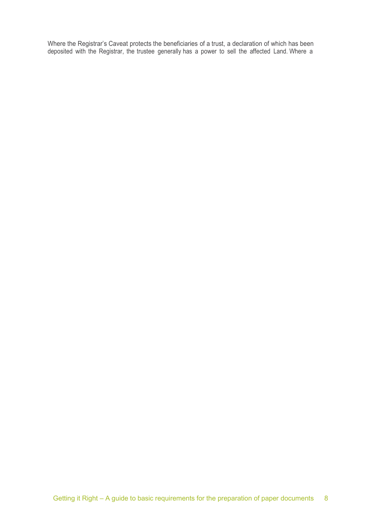Where the Registrar's Caveat protects the beneficiaries of a trust, a declaration of which has been deposited with the Registrar, the trustee generally has a power to sell the affected Land. Where a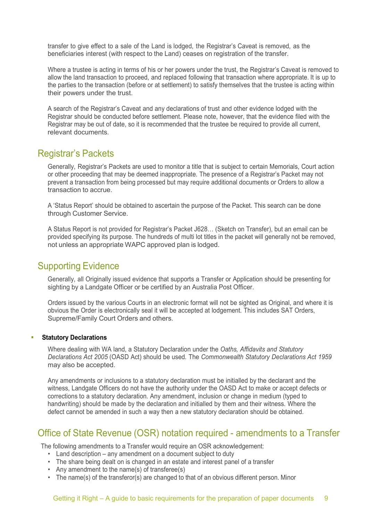transfer to give effect to a sale of the Land is lodged, the Registrar's Caveat is removed, as the beneficiaries interest (with respect to the Land) ceases on registration of the transfer.

Where a trustee is acting in terms of his or her powers under the trust, the Registrar's Caveat is removed to allow the land transaction to proceed, and replaced following that transaction where appropriate. It is up to the parties to the transaction (before or at settlement) to satisfy themselves that the trustee is acting within their powers under the trust.

A search of the Registrar's Caveat and any declarations of trust and other evidence lodged with the Registrar should be conducted before settlement. Please note, however, that the evidence filed with the Registrar may be out of date, so it is recommended that the trustee be required to provide all current, relevant documents.

## <span id="page-11-0"></span>Registrar's Packets

Generally, Registrar's Packets are used to monitor a title that is subject to certain Memorials, Court action or other proceeding that may be deemed inappropriate. The presence of a Registrar's Packet may not prevent a transaction from being processed but may require additional documents or Orders to allow a transaction to accrue.

A 'Status Report' should be obtained to ascertain the purpose of the Packet. This search can be done through Customer Service.

A Status Report is not provided for Registrar's Packet J628… (Sketch on Transfer), but an email can be provided specifying its purpose. The hundreds of multi lot titles in the packet will generally not be removed, not unless an appropriate WAPC approved plan is lodged.

## <span id="page-11-1"></span>Supporting Evidence

Generally, all Originally issued evidence that supports a Transfer or Application should be presenting for sighting by a Landgate Officer or be certified by an Australia Post Officer.

Orders issued by the various Courts in an electronic format will not be sighted as Original, and where it is obvious the Order is electronically seal it will be accepted at lodgement. This includes SAT Orders, Supreme/Family Court Orders and others.

#### <span id="page-11-2"></span>**Statutory Declarations**

Where dealing with WA land, a Statutory Declaration under the *Oaths, Affidavits and Statutory Declarations Act 2005* (OASD Act) should be used. The *Commonwealth Statutory Declarations Act 1959* may also be accepted.

Any amendments or inclusions to a statutory declaration must be initialled by the declarant and the witness, Landgate Officers do not have the authority under the OASD Act to make or accept defects or corrections to a statutory declaration. Any amendment, inclusion or change in medium (typed to handwriting) should be made by the declaration and initialled by them and their witness. Where the defect cannot be amended in such a way then a new statutory declaration should be obtained.

## <span id="page-11-3"></span>Office of State Revenue (OSR) notation required - amendments to a Transfer

The following amendments to a Transfer would require an OSR acknowledgement:

- Land description any amendment on a document subject to duty
- The share being dealt on is changed in an estate and interest panel of a transfer
- Any amendment to the name(s) of transferee(s)
- The name(s) of the transferor(s) are changed to that of an obvious different person. Minor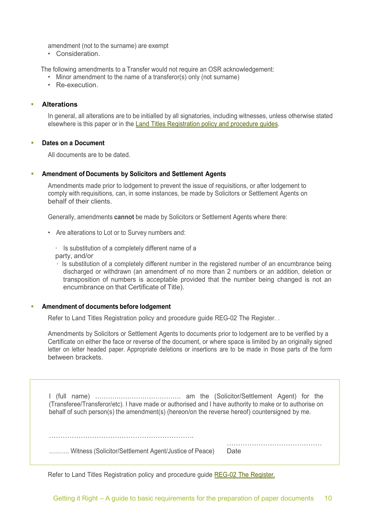amendment (not to the surname) are exempt

• Consideration.

The following amendments to a Transfer would not require an OSR acknowledgement:

- Minor amendment to the name of a transferor(s) only (not surname)
- Re-execution.

#### <span id="page-12-0"></span>**Alterations**

In general, all alterations are to be initialled by all signatories, including witnesses, unless otherwise stated elsewhere is this paper or in the [Land Titles Registration](https://www0.landgate.wa.gov.au/for-individuals/Land-Transactions-toolkit/land-titles-registration-policy-and-procedure-guides) policy and procedure guides.

#### <span id="page-12-1"></span>**Dates on a Document**

All documents are to be dated.

#### <span id="page-12-2"></span>**Amendment of Documents by Solicitors and Settlement Agents**

Amendments made prior to lodgement to prevent the issue of requisitions, or after lodgement to comply with requisitions, can, in some instances, be made by Solicitors or Settlement Agents on behalf of their clients.

Generally, amendments **cannot** be made by Solicitors or Settlement Agents where there:

• Are alterations to Lot or to Survey numbers and:

• Is substitution of a completely different name of a party, and/or

• Is substitution of a completely different number in the registered number of an encumbrance being discharged or withdrawn (an amendment of no more than 2 numbers or an addition, deletion or transposition of numbers is acceptable provided that the number being changed is not an encumbrance on that Certificate of Title).

#### <span id="page-12-3"></span>**Amendment of documents before lodgement**

Refer to Land Titles Registration policy and procedure guide REG-02 The Register. .

Amendments by Solicitors or Settlement Agents to documents prior to lodgement are to be verified by a Certificate on either the face or reverse of the document, or where space is limited by an originally signed letter on letter headed paper. Appropriate deletions or insertions are to be made in those parts of the form between brackets.

I (full name) …………………………………. am the (Solicitor/Settlement Agent) for the (Transferee/Transferor/etc). I have made or authorised and I have authority to make or to authorise on behalf of such person(s) the amendment(s) (hereon/on the reverse hereof) countersigned by me.

| Witness (Solicitor/Settlement Agent/Justice of Peace) | Date |
|-------------------------------------------------------|------|

Refer to Land Titles Registration policy and procedure guide REG-02 The [Register](https://www0.landgate.wa.gov.au/for-individuals/Land-Transactions-toolkit/land-titles-registration-policy-and-procedure-guides/practice-manual/land-ownership%2C-land-titles-and-landgate/reg-02-the-register)[.](https://www0.landgate.wa.gov.au/for-individuals/Land-Transactions-toolkit/land-titles-registration-policy-and-procedure-guides/practice-manual/land-ownership%2C-land-titles-and-landgate/reg-02-the-register)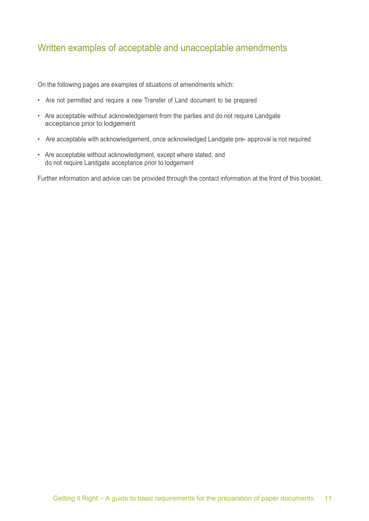## <span id="page-13-0"></span>Written examples of acceptable and unacceptable amendments

On the following pages are examples of situations of amendments which:

- Are not permitted and require a new Transfer of Land document to be prepared
- Are acceptable without acknowledgement from the parties and do not require Landgate acceptance prior to lodgement
- Are acceptable with acknowledgement, once acknowledged Landgate pre- approval is not required
- Are acceptable without acknowledgment, except where stated, and do not require Landgate acceptance prior to lodgement

Further information and advice can be provided through the contact information at the front of this booklet.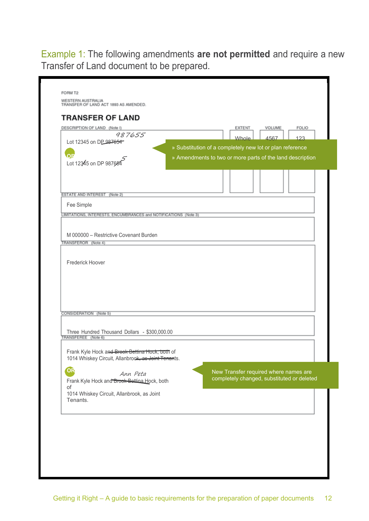Example 1: The following amendments **are not permitted** and require a new Transfer of Land document to be prepared.

| 987655<br>Lot 12345 on DP 987654                                                                       |                                                           |              |      |                                                                                     |
|--------------------------------------------------------------------------------------------------------|-----------------------------------------------------------|--------------|------|-------------------------------------------------------------------------------------|
|                                                                                                        |                                                           | <b>Whole</b> | 4567 | 123                                                                                 |
| OF                                                                                                     | » Substitution of a completely new lot or plan reference  |              |      |                                                                                     |
| Lot 12345 on DP 987684                                                                                 | » Amendments to two or more parts of the land description |              |      |                                                                                     |
|                                                                                                        |                                                           |              |      |                                                                                     |
|                                                                                                        |                                                           |              |      |                                                                                     |
| ESTATE AND INTEREST (Note 2)                                                                           |                                                           |              |      |                                                                                     |
| Fee Simple                                                                                             |                                                           |              |      |                                                                                     |
| LIMITATIONS, INTERESTS, ENCUMBRANCES and NOTIFICATIONS (Note 3)                                        |                                                           |              |      |                                                                                     |
|                                                                                                        |                                                           |              |      |                                                                                     |
| M 000000 - Restrictive Covenant Burden<br>TRANSFEROR (Note 4)                                          |                                                           |              |      |                                                                                     |
| Frederick Hoover                                                                                       |                                                           |              |      |                                                                                     |
|                                                                                                        |                                                           |              |      |                                                                                     |
| CONSIDERATION (Note 5)                                                                                 |                                                           |              |      |                                                                                     |
|                                                                                                        |                                                           |              |      |                                                                                     |
| Three Hundred Thousand Dollars - \$300,000.00<br>FRANSFEREE (Note 6)                                   |                                                           |              |      |                                                                                     |
| Frank Kyle Hock and Brook Bettina Hock, both of<br>1014 Whiskey Circuit, Allanbrook, as Joint Tenants. |                                                           |              |      |                                                                                     |
| OR                                                                                                     |                                                           |              |      |                                                                                     |
| Ann Peta<br>Frank Kyle Hock and Brook Bettina Hock, both                                               |                                                           |              |      | New Transfer required where names are<br>completely changed, substituted or deleted |
| of                                                                                                     |                                                           |              |      |                                                                                     |
| 1014 Whiskey Circuit, Allanbrook, as Joint<br>Tenants.                                                 |                                                           |              |      |                                                                                     |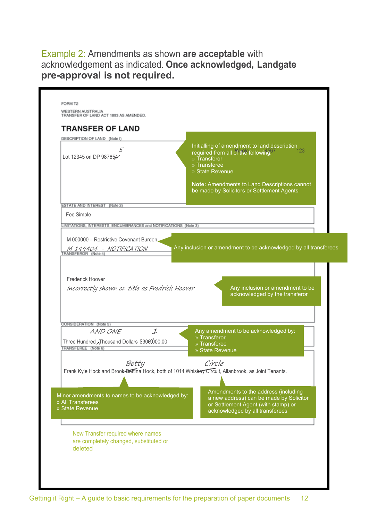Example 2: Amendments as shown **are acceptable** with acknowledgement as indicated. **Once acknowledged, Landgate pre-approval is not required.**

| DESCRIPTION OF LAND (Note I)<br>5                                                                                  | Initialling of amendment to land description<br>123<br>required from all of the following?                                                                |
|--------------------------------------------------------------------------------------------------------------------|-----------------------------------------------------------------------------------------------------------------------------------------------------------|
| Lot 12345 on DP 987654                                                                                             | » Transferor<br>» Transferee<br>» State Revenue                                                                                                           |
|                                                                                                                    | Note: Amendments to Land Descriptions cannot<br>be made by Solicitors or Settlement Agents                                                                |
| ESTATE AND INTEREST (Note 2)                                                                                       |                                                                                                                                                           |
| Fee Simple<br>LIMITATIONS, INTERESTS, ENCUMBRANCES and NOTIFICATIONS (Note 3)                                      |                                                                                                                                                           |
| M 000000 - Restrictive Covenant Burden.                                                                            |                                                                                                                                                           |
| M 149404 – NOTIFICATION<br>RANSFEROR (Note 4)                                                                      | Any inclusion or amendment to be acknowledged by all transferees                                                                                          |
| <b>Frederick Hoover</b><br>Incorrectly shown on title as Fredrick Hoover                                           | Any inclusion or amendment to be                                                                                                                          |
|                                                                                                                    | acknowledged by the transferor                                                                                                                            |
|                                                                                                                    |                                                                                                                                                           |
| AND ONE<br>$\mathcal I$                                                                                            | Any amendment to be acknowledged by:<br>» Transferor                                                                                                      |
| Three Hundred Thousand Dollars \$300,000.00<br>TRANSFEREE (Note 6)                                                 | » Transferee                                                                                                                                              |
|                                                                                                                    | » State Revenue                                                                                                                                           |
| Betty                                                                                                              | Circle                                                                                                                                                    |
|                                                                                                                    | Frank Kyle Hock and Brook-Bettina Hock, both of 1014 Whiskey Circuit, Allanbrook, as Joint Tenants.                                                       |
|                                                                                                                    |                                                                                                                                                           |
| CONSIDERATION (Note 5)<br>Minor amendments to names to be acknowledged by:<br>» All Transferees<br>» State Revenue | Amendments to the address (including<br>a new address) can be made by Solicitor<br>or Settlement Agent (with stamp) or<br>acknowledged by all transferees |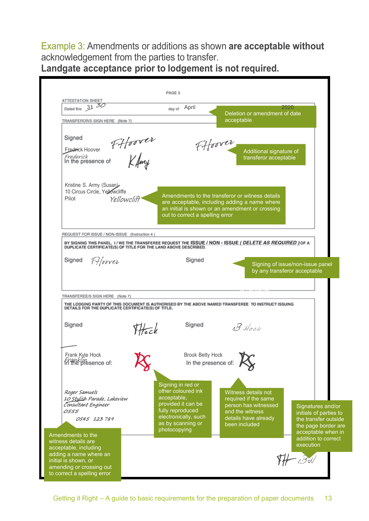Example 3: Amendments or additions as shown **are acceptable without** acknowledgement from the parties to transfer. **Landgate acceptance prior to lodgement is not required.**

PAGE 3 ATTESTATION SHEET Dated this 31 30 day of April 2020 Deletion or amendment of date acceptable TRANSFEROR/S SIGN HERE (Note 7) Signed FHoover<br>FHoover FHoover Fredrick Hoover Additional signature of Frederick<br>In the presence of transferor acceptable Kristine S. Army (Susan) 10 Circus Circle, Yellowcliffe Amendments to the transferor or witness details Pilot Yellowclift are acceptable, including adding a name where an initial is shown or an amendment or crossing out to correct a spelling error REQUEST FOR ISSUE / NON-ISSUE (Instruction 4) BY SIGNING THIS PANEL, I / WE THE TRANSFEREE REQUEST THE ISSUE / NON - ISSUE ( DELETE AS REQUIRED ) OF A DUPLICATE (S) OF TITLE FOR THE LAND ABOVE DESCRIBED. Fffoover Signed Signed Signing of issue/non-issue panel by any transferor acceptable acceptable TRANSFEREE/S SIGN HERE (Note 7) THE LODGING PARTY OF THIS DOCUMENT IS AUTHORISED BY THE ABOVE NAMED TRANSFEREE TO INSTRUCT ISSUING<br>DETAILS FOR THE DUPLICATE CERTIFICATE(S) OF TITLE. Signed Signed THack B Hock **Brook Betty Hock** Frank Ky Franklin In the presence of: Signing in red or other coloured ink Roger Samuels Witness details not acceptable, required if the same 10 Stylish Parade, Lakeview Consultant Engineer provided it can be person has witnessed Signatures and/or fully reproduced 0555 and the witness initials of parties to electronically, such 0545 123 789 details have already the transfer outside as by scanning or been included the page border are photocopying acceptable when in Amendments to the addition to correct witness details are executionacceptable, including adding a name where an  $H - B$ d initial is shown, or amending or crossing out to correct a spelling error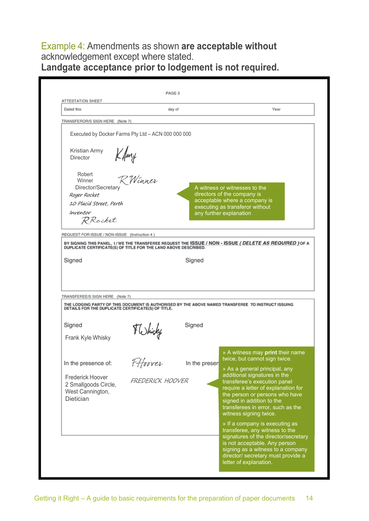## Example 4: Amendments as shown **are acceptable without** acknowledgement except where stated. **Landgate acceptance prior to lodgement is not required.**

|                                                                                                                                                     | day of                                                                |               | Year                                                                                                                                                        |
|-----------------------------------------------------------------------------------------------------------------------------------------------------|-----------------------------------------------------------------------|---------------|-------------------------------------------------------------------------------------------------------------------------------------------------------------|
| TRANSFEROR/S SIGN HERE (Note 7)                                                                                                                     |                                                                       |               |                                                                                                                                                             |
| <b>Kristian Army</b><br><b>Director</b><br>Robert<br>Winner<br>Director/Secretary<br>Roger Rocket<br>10 Placid Street, Perth<br>Inventor<br>RRocket | Executed by Docker Farms Pty Ltd - ACN 000 000 000<br>Kfmy<br>RWinner |               | A witness or witnesses to the<br>directors of the company is<br>acceptable where a company is<br>executing as transferor without<br>any further explanation |
| REQUEST FOR ISSUE / NON-ISSUE (Instruction 4)                                                                                                       |                                                                       |               | BY SIGNING THIS PANEL, I / WE THE TRANSFEREE REQUEST THE ISSUE / NON - ISSUE ( DELETE AS REQUIRED ) OF A                                                    |
|                                                                                                                                                     |                                                                       |               |                                                                                                                                                             |
| TRANSFEREE/S SIGN HERE (Note 7)<br>DETAILS FOR THE DUPLICATE CERTIFICATE(S) OF TITLE.                                                               |                                                                       |               | THE LODGING PARTY OF THIS DOCUMENT IS AUTHORISED BY THE ABOVE NAMED TRANSFEREE TO INSTRUCT ISSUING                                                          |
| Signed<br>Frank Kyle Whisky                                                                                                                         | FWhisky                                                               | Signed        |                                                                                                                                                             |
| In the presence of:                                                                                                                                 | 7 Hoover                                                              | In the presen | » A witness may <b>print</b> their name<br>twice, but cannot sign twice.<br>» As a general principal, any<br>additional signatures in the                   |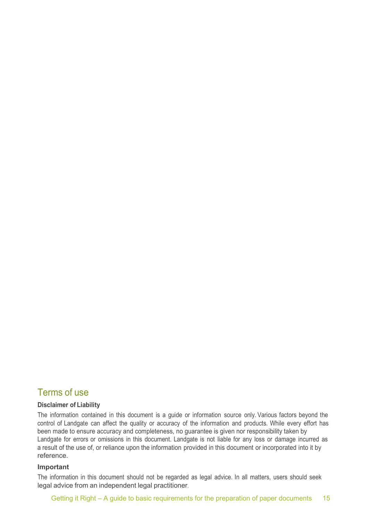## Terms of use

#### **Disclaimer of Liability**

The information contained in this document is a guide or information source only. Various factors beyond the control of Landgate can affect the quality or accuracy of the information and products. While every effort has been made to ensure accuracy and completeness, no guarantee is given nor responsibility taken by Landgate for errors or omissions in this document. Landgate is not liable for any loss or damage incurred as a result of the use of, or reliance upon the information provided in this document or incorporated into it by reference.

#### **Important**

The information in this document should not be regarded as legal advice. In all matters, users should seek legal advice from an independent legal practitioner.